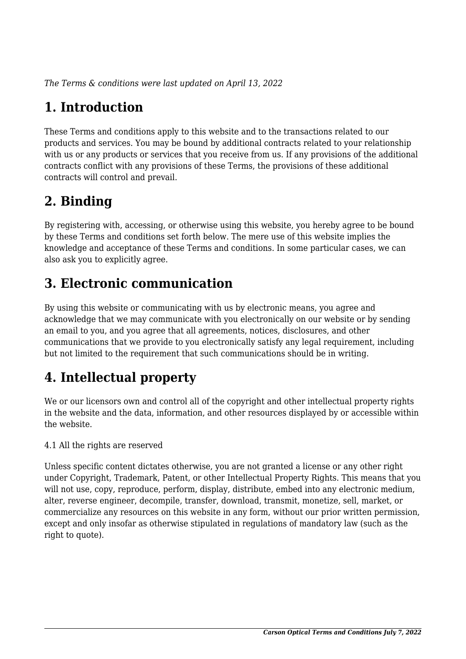*The Terms & conditions were last updated on April 13, 2022*

# **1. Introduction**

These Terms and conditions apply to this website and to the transactions related to our products and services. You may be bound by additional contracts related to your relationship with us or any products or services that you receive from us. If any provisions of the additional contracts conflict with any provisions of these Terms, the provisions of these additional contracts will control and prevail.

## **2. Binding**

By registering with, accessing, or otherwise using this website, you hereby agree to be bound by these Terms and conditions set forth below. The mere use of this website implies the knowledge and acceptance of these Terms and conditions. In some particular cases, we can also ask you to explicitly agree.

## **3. Electronic communication**

By using this website or communicating with us by electronic means, you agree and acknowledge that we may communicate with you electronically on our website or by sending an email to you, and you agree that all agreements, notices, disclosures, and other communications that we provide to you electronically satisfy any legal requirement, including but not limited to the requirement that such communications should be in writing.

# **4. Intellectual property**

We or our licensors own and control all of the copyright and other intellectual property rights in the website and the data, information, and other resources displayed by or accessible within the website.

4.1 All the rights are reserved

Unless specific content dictates otherwise, you are not granted a license or any other right under Copyright, Trademark, Patent, or other Intellectual Property Rights. This means that you will not use, copy, reproduce, perform, display, distribute, embed into any electronic medium, alter, reverse engineer, decompile, transfer, download, transmit, monetize, sell, market, or commercialize any resources on this website in any form, without our prior written permission, except and only insofar as otherwise stipulated in regulations of mandatory law (such as the right to quote).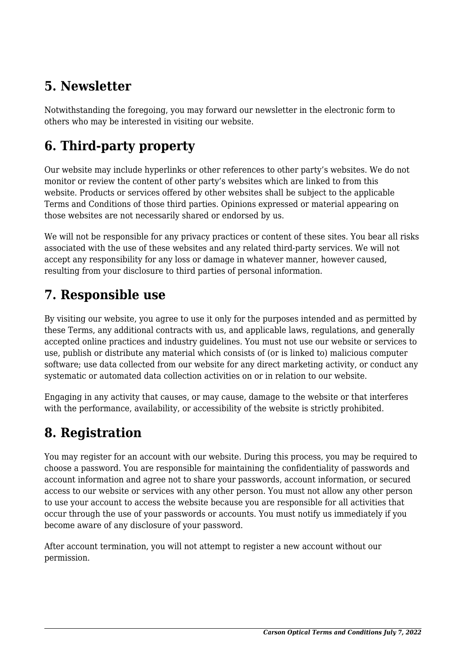## **5. Newsletter**

Notwithstanding the foregoing, you may forward our newsletter in the electronic form to others who may be interested in visiting our website.

# **6. Third-party property**

Our website may include hyperlinks or other references to other party's websites. We do not monitor or review the content of other party's websites which are linked to from this website. Products or services offered by other websites shall be subject to the applicable Terms and Conditions of those third parties. Opinions expressed or material appearing on those websites are not necessarily shared or endorsed by us.

We will not be responsible for any privacy practices or content of these sites. You bear all risks associated with the use of these websites and any related third-party services. We will not accept any responsibility for any loss or damage in whatever manner, however caused, resulting from your disclosure to third parties of personal information.

#### **7. Responsible use**

By visiting our website, you agree to use it only for the purposes intended and as permitted by these Terms, any additional contracts with us, and applicable laws, regulations, and generally accepted online practices and industry guidelines. You must not use our website or services to use, publish or distribute any material which consists of (or is linked to) malicious computer software; use data collected from our website for any direct marketing activity, or conduct any systematic or automated data collection activities on or in relation to our website.

Engaging in any activity that causes, or may cause, damage to the website or that interferes with the performance, availability, or accessibility of the website is strictly prohibited.

## **8. Registration**

You may register for an account with our website. During this process, you may be required to choose a password. You are responsible for maintaining the confidentiality of passwords and account information and agree not to share your passwords, account information, or secured access to our website or services with any other person. You must not allow any other person to use your account to access the website because you are responsible for all activities that occur through the use of your passwords or accounts. You must notify us immediately if you become aware of any disclosure of your password.

After account termination, you will not attempt to register a new account without our permission.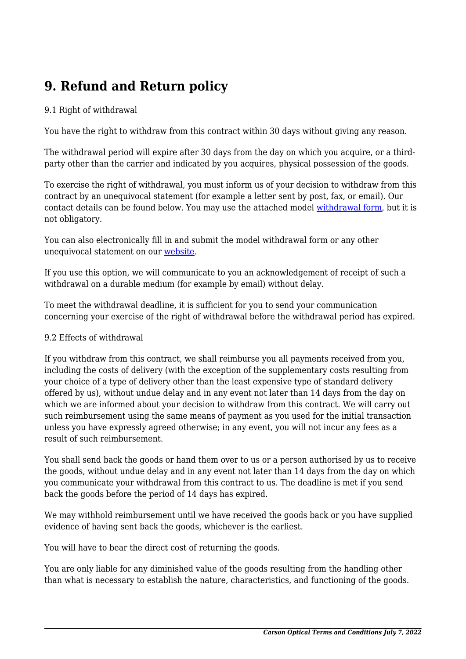## **9. Refund and Return policy**

#### 9.1 Right of withdrawal

You have the right to withdraw from this contract within 30 days without giving any reason.

The withdrawal period will expire after 30 days from the day on which you acquire, or a thirdparty other than the carrier and indicated by you acquires, physical possession of the goods.

To exercise the right of withdrawal, you must inform us of your decision to withdraw from this contract by an unequivocal statement (for example a letter sent by post, fax, or email). Our contact details can be found below. You may use the attached model [withdrawal form](https://carson.com/wp-content/uploads/complianz/withdrawal-forms/withdrawal-form-en.pdf), but it is not obligatory.

You can also electronically fill in and submit the model withdrawal form or any other unequivocal statement on our [website](https://carson.com/about-carson/contact-us/).

If you use this option, we will communicate to you an acknowledgement of receipt of such a withdrawal on a durable medium (for example by email) without delay.

To meet the withdrawal deadline, it is sufficient for you to send your communication concerning your exercise of the right of withdrawal before the withdrawal period has expired.

#### 9.2 Effects of withdrawal

If you withdraw from this contract, we shall reimburse you all payments received from you, including the costs of delivery (with the exception of the supplementary costs resulting from your choice of a type of delivery other than the least expensive type of standard delivery offered by us), without undue delay and in any event not later than 14 days from the day on which we are informed about your decision to withdraw from this contract. We will carry out such reimbursement using the same means of payment as you used for the initial transaction unless you have expressly agreed otherwise; in any event, you will not incur any fees as a result of such reimbursement.

You shall send back the goods or hand them over to us or a person authorised by us to receive the goods, without undue delay and in any event not later than 14 days from the day on which you communicate your withdrawal from this contract to us. The deadline is met if you send back the goods before the period of 14 days has expired.

We may withhold reimbursement until we have received the goods back or you have supplied evidence of having sent back the goods, whichever is the earliest.

You will have to bear the direct cost of returning the goods.

You are only liable for any diminished value of the goods resulting from the handling other than what is necessary to establish the nature, characteristics, and functioning of the goods.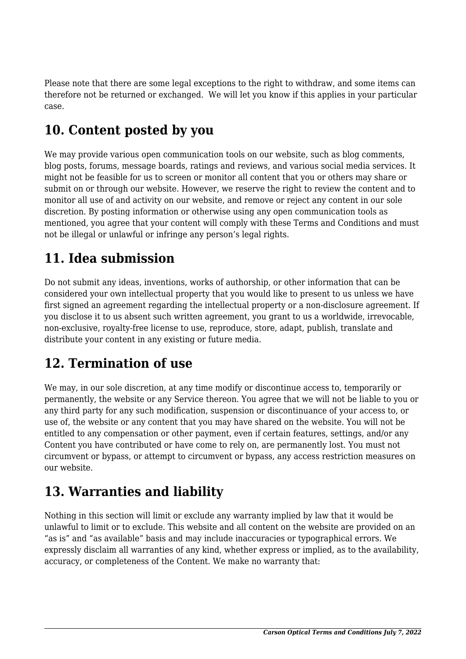Please note that there are some legal exceptions to the right to withdraw, and some items can therefore not be returned or exchanged. We will let you know if this applies in your particular case.

## **10. Content posted by you**

We may provide various open communication tools on our website, such as blog comments, blog posts, forums, message boards, ratings and reviews, and various social media services. It might not be feasible for us to screen or monitor all content that you or others may share or submit on or through our website. However, we reserve the right to review the content and to monitor all use of and activity on our website, and remove or reject any content in our sole discretion. By posting information or otherwise using any open communication tools as mentioned, you agree that your content will comply with these Terms and Conditions and must not be illegal or unlawful or infringe any person's legal rights.

# **11. Idea submission**

Do not submit any ideas, inventions, works of authorship, or other information that can be considered your own intellectual property that you would like to present to us unless we have first signed an agreement regarding the intellectual property or a non-disclosure agreement. If you disclose it to us absent such written agreement, you grant to us a worldwide, irrevocable, non-exclusive, royalty-free license to use, reproduce, store, adapt, publish, translate and distribute your content in any existing or future media.

#### **12. Termination of use**

We may, in our sole discretion, at any time modify or discontinue access to, temporarily or permanently, the website or any Service thereon. You agree that we will not be liable to you or any third party for any such modification, suspension or discontinuance of your access to, or use of, the website or any content that you may have shared on the website. You will not be entitled to any compensation or other payment, even if certain features, settings, and/or any Content you have contributed or have come to rely on, are permanently lost. You must not circumvent or bypass, or attempt to circumvent or bypass, any access restriction measures on our website.

## **13. Warranties and liability**

Nothing in this section will limit or exclude any warranty implied by law that it would be unlawful to limit or to exclude. This website and all content on the website are provided on an "as is" and "as available" basis and may include inaccuracies or typographical errors. We expressly disclaim all warranties of any kind, whether express or implied, as to the availability, accuracy, or completeness of the Content. We make no warranty that: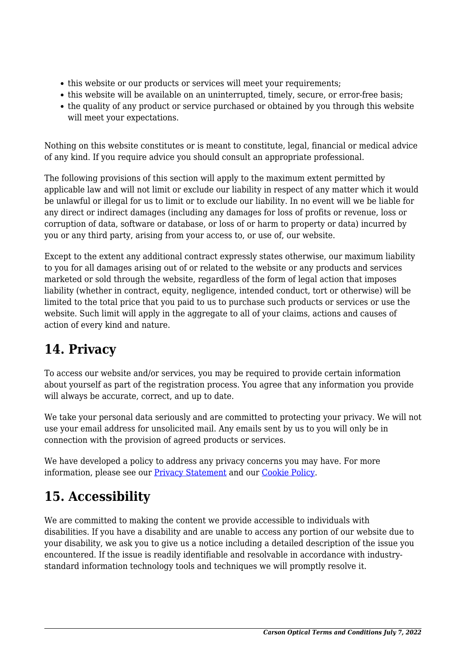- this website or our products or services will meet your requirements;
- this website will be available on an uninterrupted, timely, secure, or error-free basis;
- the quality of any product or service purchased or obtained by you through this website will meet your expectations.

Nothing on this website constitutes or is meant to constitute, legal, financial or medical advice of any kind. If you require advice you should consult an appropriate professional.

The following provisions of this section will apply to the maximum extent permitted by applicable law and will not limit or exclude our liability in respect of any matter which it would be unlawful or illegal for us to limit or to exclude our liability. In no event will we be liable for any direct or indirect damages (including any damages for loss of profits or revenue, loss or corruption of data, software or database, or loss of or harm to property or data) incurred by you or any third party, arising from your access to, or use of, our website.

Except to the extent any additional contract expressly states otherwise, our maximum liability to you for all damages arising out of or related to the website or any products and services marketed or sold through the website, regardless of the form of legal action that imposes liability (whether in contract, equity, negligence, intended conduct, tort or otherwise) will be limited to the total price that you paid to us to purchase such products or services or use the website. Such limit will apply in the aggregate to all of your claims, actions and causes of action of every kind and nature.

## **14. Privacy**

To access our website and/or services, you may be required to provide certain information about yourself as part of the registration process. You agree that any information you provide will always be accurate, correct, and up to date.

We take your personal data seriously and are committed to protecting your privacy. We will not use your email address for unsolicited mail. Any emails sent by us to you will only be in connection with the provision of agreed products or services.

We have developed a policy to address any privacy concerns you may have. For more information, please see our [Privacy Statement](http://www.carson.com/privacy-policy) and our Cookie Policy.

## **15. Accessibility**

We are committed to making the content we provide accessible to individuals with disabilities. If you have a disability and are unable to access any portion of our website due to your disability, we ask you to give us a notice including a detailed description of the issue you encountered. If the issue is readily identifiable and resolvable in accordance with industrystandard information technology tools and techniques we will promptly resolve it.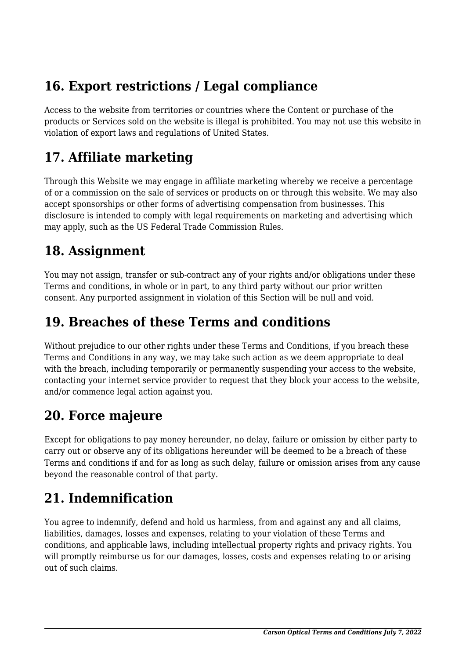## **16. Export restrictions / Legal compliance**

Access to the website from territories or countries where the Content or purchase of the products or Services sold on the website is illegal is prohibited. You may not use this website in violation of export laws and regulations of United States.

#### **17. Affiliate marketing**

Through this Website we may engage in affiliate marketing whereby we receive a percentage of or a commission on the sale of services or products on or through this website. We may also accept sponsorships or other forms of advertising compensation from businesses. This disclosure is intended to comply with legal requirements on marketing and advertising which may apply, such as the US Federal Trade Commission Rules.

#### **18. Assignment**

You may not assign, transfer or sub-contract any of your rights and/or obligations under these Terms and conditions, in whole or in part, to any third party without our prior written consent. Any purported assignment in violation of this Section will be null and void.

#### **19. Breaches of these Terms and conditions**

Without prejudice to our other rights under these Terms and Conditions, if you breach these Terms and Conditions in any way, we may take such action as we deem appropriate to deal with the breach, including temporarily or permanently suspending your access to the website, contacting your internet service provider to request that they block your access to the website, and/or commence legal action against you.

#### **20. Force majeure**

Except for obligations to pay money hereunder, no delay, failure or omission by either party to carry out or observe any of its obligations hereunder will be deemed to be a breach of these Terms and conditions if and for as long as such delay, failure or omission arises from any cause beyond the reasonable control of that party.

## **21. Indemnification**

You agree to indemnify, defend and hold us harmless, from and against any and all claims, liabilities, damages, losses and expenses, relating to your violation of these Terms and conditions, and applicable laws, including intellectual property rights and privacy rights. You will promptly reimburse us for our damages, losses, costs and expenses relating to or arising out of such claims.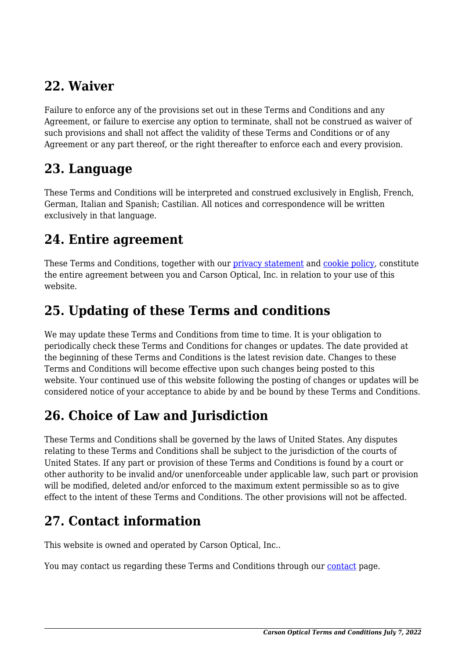#### **22. Waiver**

Failure to enforce any of the provisions set out in these Terms and Conditions and any Agreement, or failure to exercise any option to terminate, shall not be construed as waiver of such provisions and shall not affect the validity of these Terms and Conditions or of any Agreement or any part thereof, or the right thereafter to enforce each and every provision.

#### **23. Language**

These Terms and Conditions will be interpreted and construed exclusively in English, French, German, Italian and Spanish; Castilian. All notices and correspondence will be written exclusively in that language.

#### **24. Entire agreement**

These Terms and Conditions, together with our [privacy statement](http://www.carson.com/privacy-policy) and cookie policy, constitute the entire agreement between you and Carson Optical, Inc. in relation to your use of this website.

#### **25. Updating of these Terms and conditions**

We may update these Terms and Conditions from time to time. It is your obligation to periodically check these Terms and Conditions for changes or updates. The date provided at the beginning of these Terms and Conditions is the latest revision date. Changes to these Terms and Conditions will become effective upon such changes being posted to this website. Your continued use of this website following the posting of changes or updates will be considered notice of your acceptance to abide by and be bound by these Terms and Conditions.

# **26. Choice of Law and Jurisdiction**

These Terms and Conditions shall be governed by the laws of United States. Any disputes relating to these Terms and Conditions shall be subject to the jurisdiction of the courts of United States. If any part or provision of these Terms and Conditions is found by a court or other authority to be invalid and/or unenforceable under applicable law, such part or provision will be modified, deleted and/or enforced to the maximum extent permissible so as to give effect to the intent of these Terms and Conditions. The other provisions will not be affected.

## **27. Contact information**

This website is owned and operated by Carson Optical, Inc..

You may contact us regarding these Terms and Conditions through our [contact](https://carson.com/about-carson/contact-us/) page.